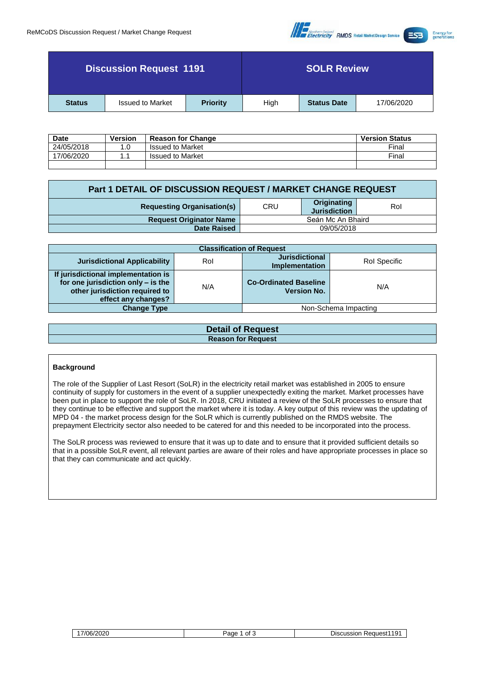

| <b>Discussion Request 1191</b>                              |  |      | <b>SOLR Review</b> |            |  |  |
|-------------------------------------------------------------|--|------|--------------------|------------|--|--|
| <b>Issued to Market</b><br><b>Priority</b><br><b>Status</b> |  | High | <b>Status Date</b> | 17/06/2020 |  |  |

| <b>Date</b> | Version | <b>Reason for Change</b> | <b>Version Status</b> |
|-------------|---------|--------------------------|-----------------------|
| 24/05/2018  |         | <b>Issued to Market</b>  | Final                 |
| 7/06/2020   |         | <b>Issued to Market</b>  | Final                 |
|             |         |                          |                       |

| Part 1 DETAIL OF DISCUSSION REQUEST / MARKET CHANGE REQUEST |                   |                                    |     |  |  |
|-------------------------------------------------------------|-------------------|------------------------------------|-----|--|--|
| <b>Requesting Organisation(s)</b>                           | CRU               | Originating<br><b>Jurisdiction</b> | Rol |  |  |
| <b>Request Originator Name</b>                              | Seán Mc An Bhaird |                                    |     |  |  |
| <b>Date Raised</b>                                          | 09/05/2018        |                                    |     |  |  |

| <b>Classification of Request</b>                                                                                                   |     |                                                    |                      |  |  |  |
|------------------------------------------------------------------------------------------------------------------------------------|-----|----------------------------------------------------|----------------------|--|--|--|
| <b>Jurisdictional Applicability</b>                                                                                                | Rol | <b>Jurisdictional</b><br>Implementation            | Rol Specific         |  |  |  |
| If jurisdictional implementation is<br>for one jurisdiction only - is the<br>other jurisdiction required to<br>effect any changes? | N/A | <b>Co-Ordinated Baseline</b><br><b>Version No.</b> | N/A                  |  |  |  |
| <b>Change Type</b>                                                                                                                 |     |                                                    | Non-Schema Impacting |  |  |  |

| <b>Detail of Request</b>  |
|---------------------------|
| <b>Reason for Request</b> |
|                           |

#### **Background**

The role of the Supplier of Last Resort (SoLR) in the electricity retail market was established in 2005 to ensure continuity of supply for customers in the event of a supplier unexpectedly exiting the market. Market processes have been put in place to support the role of SoLR. In 2018, CRU initiated a review of the SoLR processes to ensure that they continue to be effective and support the market where it is today. A key output of this review was the updating of MPD 04 - the market process design for the SoLR which is currently published on the RMDS website. The prepayment Electricity sector also needed to be catered for and this needed to be incorporated into the process.

The SoLR process was reviewed to ensure that it was up to date and to ensure that it provided sufficient details so that in a possible SoLR event, all relevant parties are aware of their roles and have appropriate processes in place so that they can communicate and act quickly.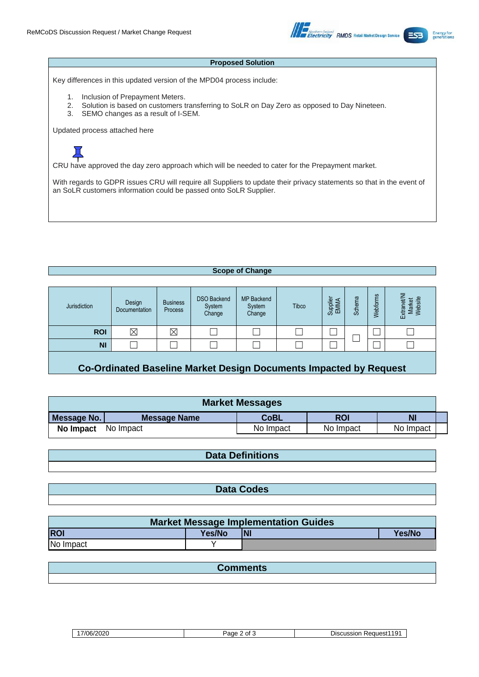

#### **Proposed Solution**

Key differences in this updated version of the MPD04 process include:

- 1. Inclusion of Prepayment Meters.
- 2. Solution is based on customers transferring to SoLR on Day Zero as opposed to Day Nineteen.<br>3. SEMO changes as a result of I-SEM.
- SEMO changes as a result of I-SEM.

Updated process attached here

# $\bm{\Xi}$

CRU have approved the day zero approach which will be needed to cater for the Prepayment market.

With regards to GDPR issues CRU will require all Suppliers to update their privacy statements so that in the event of an SoLR customers information could be passed onto SoLR Supplier.

#### **Scope of Change**

| Jurisdiction | Design<br>Documentation | <b>Business</b><br>Process | <b>DSO Backend</b><br>System<br>Change | <b>MP Backend</b><br>System<br>Change | Tibco | Supplier<br>EMMA | 四<br><b>Scher</b> | Webforms | Market<br>Website<br>뮮<br>ত়<br>찣 |
|--------------|-------------------------|----------------------------|----------------------------------------|---------------------------------------|-------|------------------|-------------------|----------|-----------------------------------|
| <b>ROI</b>   | $\boxtimes$             | $\times$                   |                                        |                                       |       |                  |                   |          |                                   |
| <b>NI</b>    |                         |                            |                                        |                                       |       |                  |                   |          |                                   |
|              |                         |                            |                                        |                                       |       |                  |                   |          |                                   |

## **Co-Ordinated Baseline Market Design Documents Impacted by Request**

| <b>Market Messages</b> |                                                              |           |           |           |  |  |
|------------------------|--------------------------------------------------------------|-----------|-----------|-----------|--|--|
| Message No.            | <b>N</b><br><b>CoBL</b><br><b>ROI</b><br><b>Message Name</b> |           |           |           |  |  |
| No Impact              | No Impact                                                    | No Impact | No Impact | No Impact |  |  |

### **Data Definitions**

**Data Codes**

| <b>Market Message Implementation Guides</b>       |  |  |  |  |  |  |  |
|---------------------------------------------------|--|--|--|--|--|--|--|
| <b>ROI</b><br><b>N</b><br>Yes/No<br><b>Yes/No</b> |  |  |  |  |  |  |  |
| No Impact                                         |  |  |  |  |  |  |  |

| פווחווורט |
|-----------|
|           |